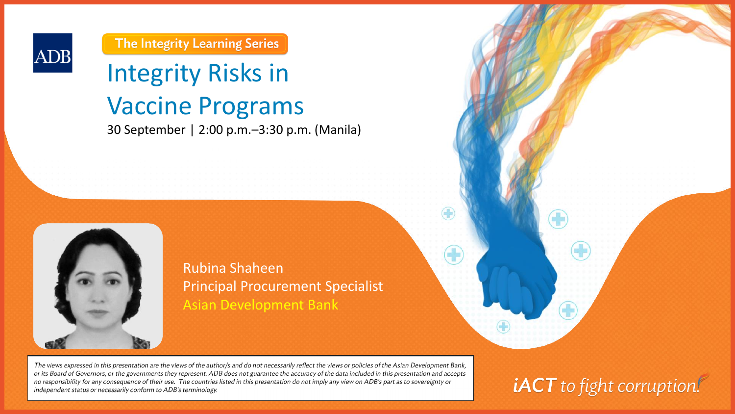

The Integrity Learning Series

# Integrity Risks in Vaccine Programs 30 September | 2:00 p.m.–3:30 p.m. (Manila)



The views expressed in this presentation are the views of the author/s and do not necessarily reflect the views or policies of the Asian Development Bank, or its Board of Governors, or the governments they represent. ADB does not guarantee the accuracy of the data included in this presentation and accepts no responsibility for any consequence of their use. The countries listed in this presentation do not imply any view on ADB's part as to sovereignty or independent status or necessarily conform to ADB's terminology.

**iACT** to fight corruption!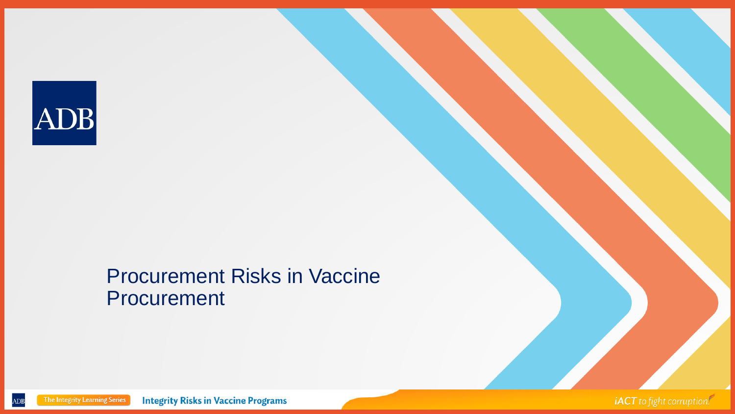

#### Procurement Risks in Vaccine **Procurement**

The Integrity Learning Series **Integrity Risks in Vaccine Programs** ADB

iACT to fight corruption.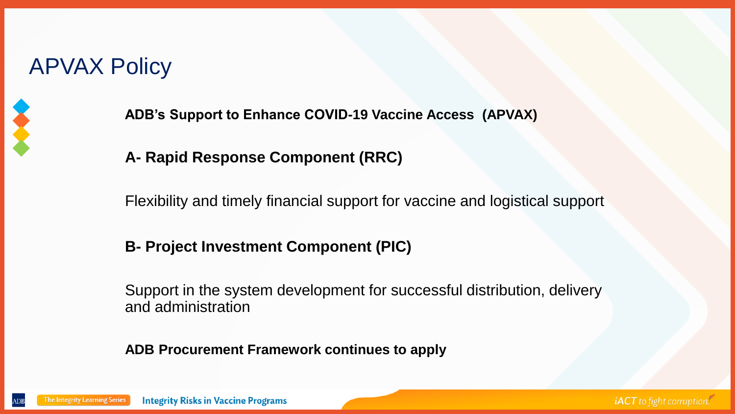### APVAX Policy



**ADB's Support to Enhance COVID-19 Vaccine Access (APVAX)**

#### **A- Rapid Response Component (RRC)**

Flexibility and timely financial support for vaccine and logistical support

#### **B- Project Investment Component (PIC)**

Support in the system development for successful distribution, delivery and administration

**ADB Procurement Framework continues to apply**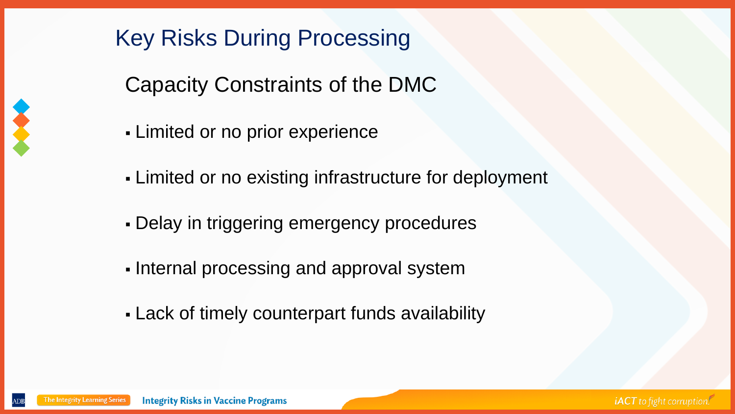

## Key Risks During Processing

Capacity Constraints of the DMC

- **Limited or no prior experience**
- **Limited or no existing infrastructure for deployment**
- Delay in triggering emergency procedures
- Internal processing and approval system
- Lack of timely counterpart funds availability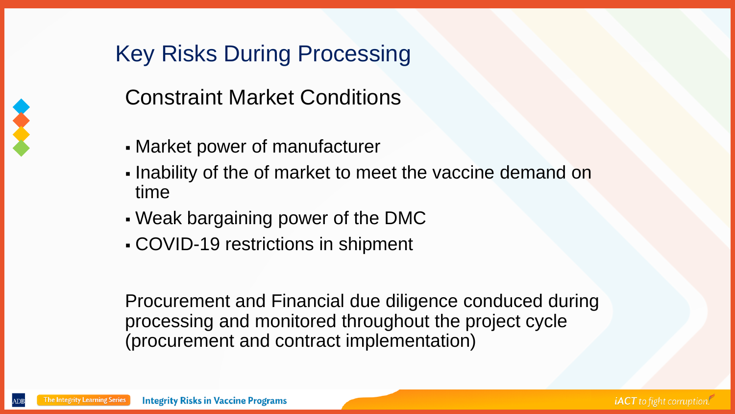## Key Risks During Processing



- Market power of manufacturer
- . Inability of the of market to meet the vaccine demand on time
- Weak bargaining power of the DMC
- COVID-19 restrictions in shipment

Procurement and Financial due diligence conduced during processing and monitored throughout the project cycle (procurement and contract implementation)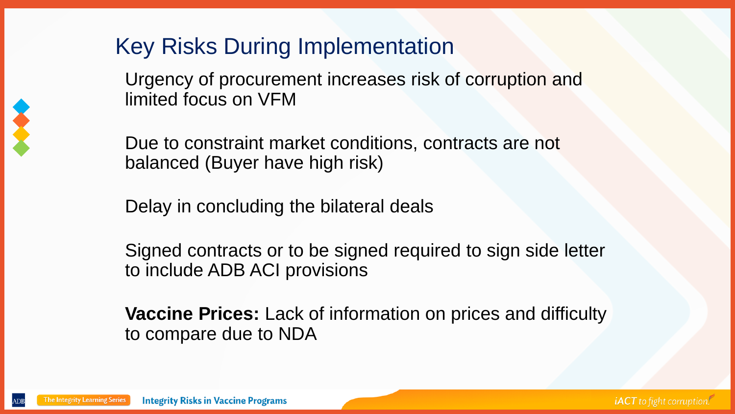#### Key Risks During Implementation

Urgency of procurement increases risk of corruption and limited focus on VFM

Due to constraint market conditions, contracts are not balanced (Buyer have high risk)

Delay in concluding the bilateral deals

Signed contracts or to be signed required to sign side letter to include ADB ACI provisions

**Vaccine Prices:** Lack of information on prices and difficulty to compare due to NDA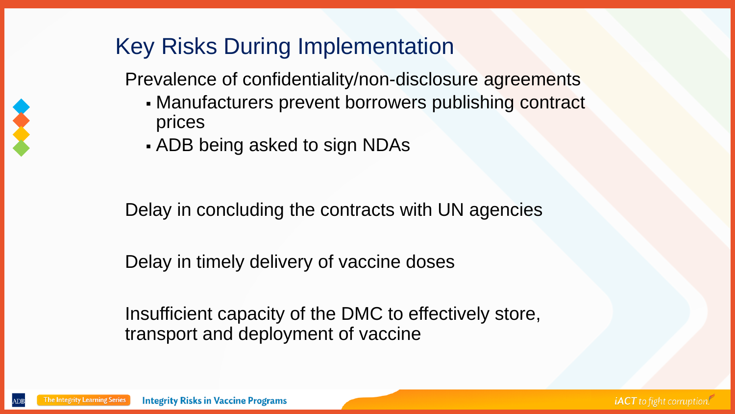### Key Risks During Implementation

Prevalence of confidentiality/non-disclosure agreements

- **. Manufacturers prevent borrowers publishing contract** prices
- ADB being asked to sign NDAs

Delay in concluding the contracts with UN agencies

Delay in timely delivery of vaccine doses

Insufficient capacity of the DMC to effectively store, transport and deployment of vaccine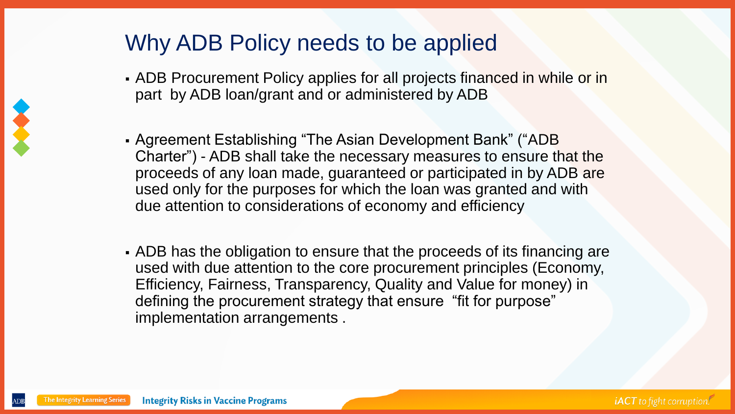#### Why ADB Policy needs to be applied

- ADB Procurement Policy applies for all projects financed in while or in part by ADB loan/grant and or administered by ADB
- Agreement Establishing "The Asian Development Bank" ("ADB Charter") - ADB shall take the necessary measures to ensure that the proceeds of any loan made, guaranteed or participated in by ADB are used only for the purposes for which the loan was granted and with due attention to considerations of economy and efficiency
- ADB has the obligation to ensure that the proceeds of its financing are used with due attention to the core procurement principles (Economy, Efficiency, Fairness, Transparency, Quality and Value for money) in defining the procurement strategy that ensure "fit for purpose" implementation arrangements .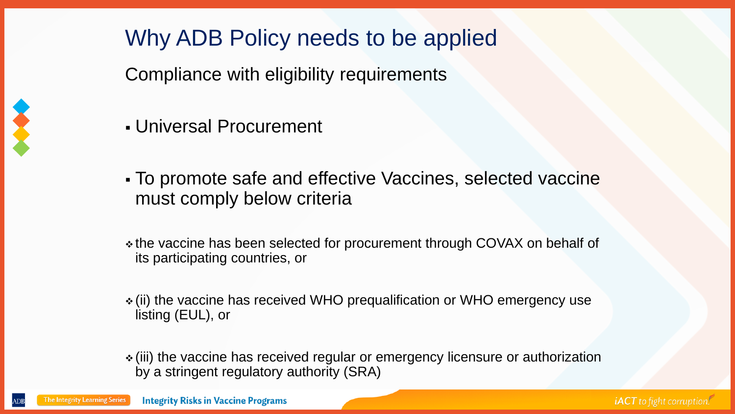

## Why ADB Policy needs to be applied

Compliance with eligibility requirements

- Universal Procurement
- To promote safe and effective Vaccines, selected vaccine must comply below criteria
- ❖ the vaccine has been selected for procurement through COVAX on behalf of its participating countries, or
- ❖ (ii) the vaccine has received WHO prequalification or WHO emergency use listing (EUL), or
- ❖ (iii) the vaccine has received regular or emergency licensure or authorization by a stringent regulatory authority (SRA)